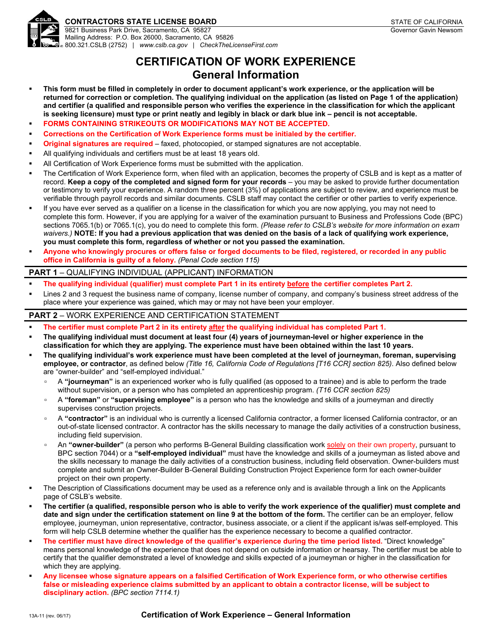

## **CONTRACTORS STATE LICENSE BOARD STATE OF CALIFORNIA**

9821 Business Park Drive, Sacramento, CA 95827 Mailing Address: P.O. Box 26000, Sacramento, CA 95826 800.321.CSLB (2752) | *[www.cslb.ca.gov](http://www.cslb.ca.gov)* | *CheckTheLicenseFirst.com*

## **CERTIFICATION OF WORK EXPERIENCE General Information**

- **This form must be filled in completely in order to document applicant's work experience, or the application will be returned for correction or completion. The qualifying individual on the application (as listed on Page 1 of the application) and certifier (a qualified and responsible person who verifies the experience in the classification for which the applicant is seeking licensure) must type or print neatly and legibly in black or dark blue ink – pencil is not acceptable.**
- **FORMS CONTAINING STRIKEOUTS OR MODIFICATIONS MAY NOT BE ACCEPTED.**
- **Corrections on the Certification of Work Experience forms must be initialed by the certifier.**
- **Original signatures are required** faxed, photocopied, or stamped signatures are not acceptable.
- All qualifying individuals and certifiers must be at least 18 years old.
- All Certification of Work Experience forms must be submitted with the application.
- The Certification of Work Experience form, when filed with an application, becomes the property of CSLB and is kept as a matter of record. **Keep a copy of the completed and signed form for your records** – you may be asked to provide further documentation or testimony to verify your experience. A random three percent (3%) of applications are subject to review, and experience must be verifiable through payroll records and similar documents. CSLB staff may contact the certifier or other parties to verify experience.
- If you have ever served as a qualifier on a license in the classification for which you are now applying, you may not need to complete this form. However, if you are applying for a waiver of the examination pursuant to Business and Professions Code (BPC) sections 7065.1(b) or 7065.1(c), you do need to complete this form. *(Please refer to CSLB's website for more information on exam waivers.)* **NOTE: If you had a previous application that was denied on the basis of a lack of qualifying work experience, you must complete this form, regardless of whether or not you passed the examination.**
- **Anyone who knowingly procures or offers false or forged documents to be filed, registered, or recorded in any public office in California is guilty of a felony.** *(Penal Code section 115)*

## **PART 1** – QUALIFYING INDIVIDUAL (APPLICANT) INFORMATION

- **The qualifying individual (qualifier) must complete Part 1 in its entirety before the certifier completes Part 2.**
- Lines 2 and 3 request the business name of company, license number of company, and company's business street address of the place where your experience was gained, which may or may not have been your employer.

## **PART 2** – WORK EXPERIENCE AND CERTIFICATION STATEMENT

- **The certifier must complete Part 2 in its entirety after the qualifying individual has completed Part 1.**
- **The qualifying individual must document at least four (4) years of journeyman-level or higher experience in the classification for which they are applying. The experience must have been obtained within the last 10 years.**
- **The qualifying individual's work experience must have been completed at the level of journeyman, foreman, supervising employee, or contractor**, as defined below *(Title 16, California Code of Regulations [T16 CCR] section 825)*. Also defined below are "owner-builder" and "self-employed individual."
	- A **"journeyman"** is an experienced worker who is fully qualified (as opposed to a trainee) and is able to perform the trade without supervision, or a person who has completed an apprenticeship program. *(T16 CCR section 825)*
	- A **"foreman"** or **"supervising employee"** is a person who has the knowledge and skills of a journeyman and directly supervises construction projects.
	- A **"contractor"** is an individual who is currently a licensed California contractor, a former licensed California contractor, or an out-of-state licensed contractor. A contractor has the skills necessary to manage the daily activities of a construction business, including field supervision.
	- An **"owner-builder"** (a person who performs B-General Building classification work solely on their own property, pursuant to BPC section 7044) or a **"self-employed individual"** must have the knowledge and skills of a journeyman as listed above and the skills necessary to manage the daily activities of a construction business, including field observation. Owner-builders must complete and submit an Owner-Builder B-General Building Construction Project Experience form for each owner-builder project on their own property.
- The Description of Classifications document may be used as a reference only and is available through a link on the Applicants page of CSLB's website.
- **The certifier (a qualified, responsible person who is able to verify the work experience of the qualifier) must complete and date and sign under the certification statement on line 9 at the bottom of the form.** The certifier can be an employer, fellow employee, journeyman, union representative, contractor, business associate, or a client if the applicant is/was self-employed. This form will help CSLB determine whether the qualifier has the experience necessary to become a qualified contractor.
- **The certifier must have direct knowledge of the qualifier's experience during the time period listed.** "Direct knowledge" means personal knowledge of the experience that does not depend on outside information or hearsay. The certifier must be able to certify that the qualifier demonstrated a level of knowledge and skills expected of a journeyman or higher in the classification for which they are applying.
- **Any licensee whose signature appears on a falsified Certification of Work Experience form, or who otherwise certifies false or misleading experience claims submitted by an applicant to obtain a contractor license, will be subject to disciplinary action.** *(BPC section 7114.1)*